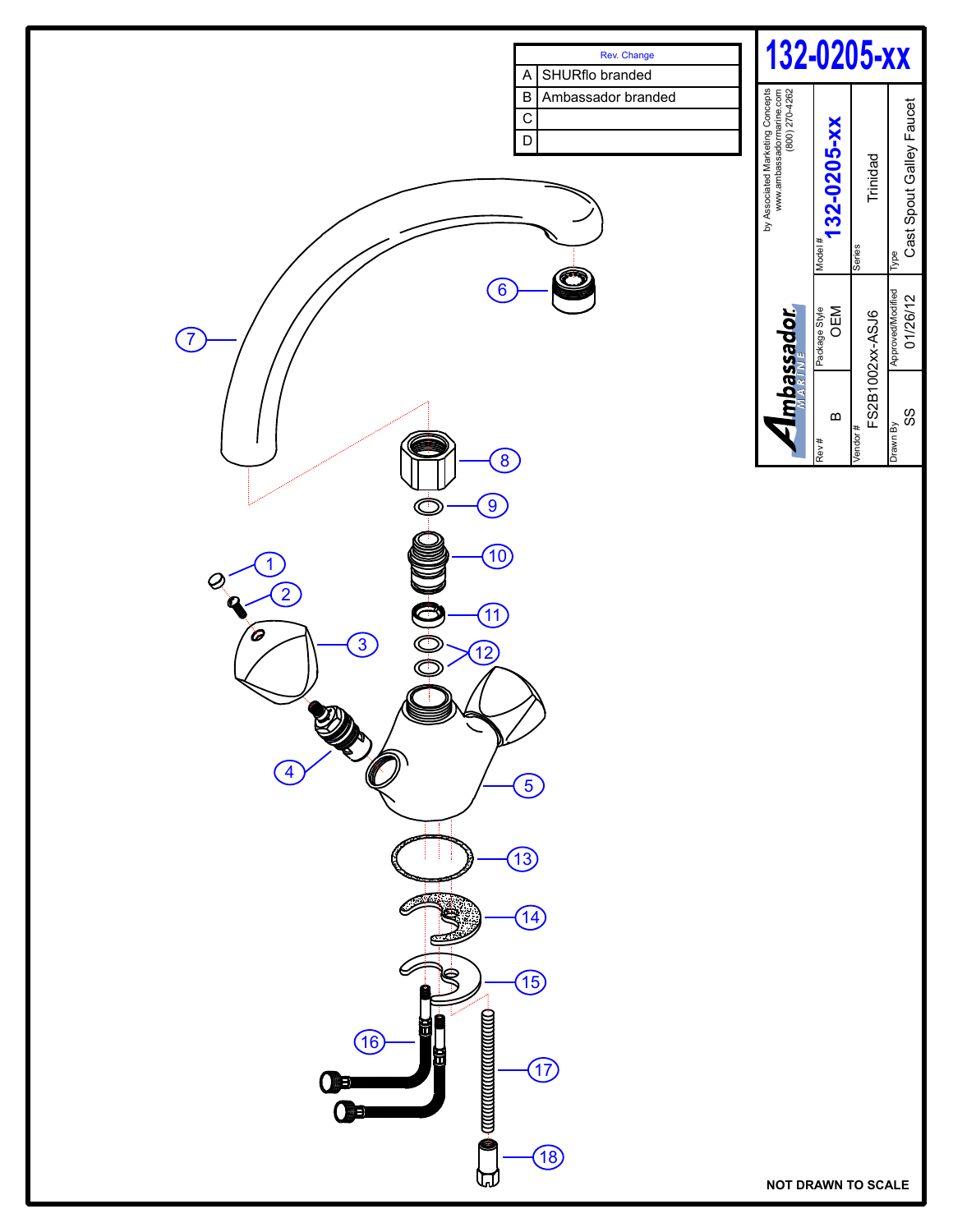